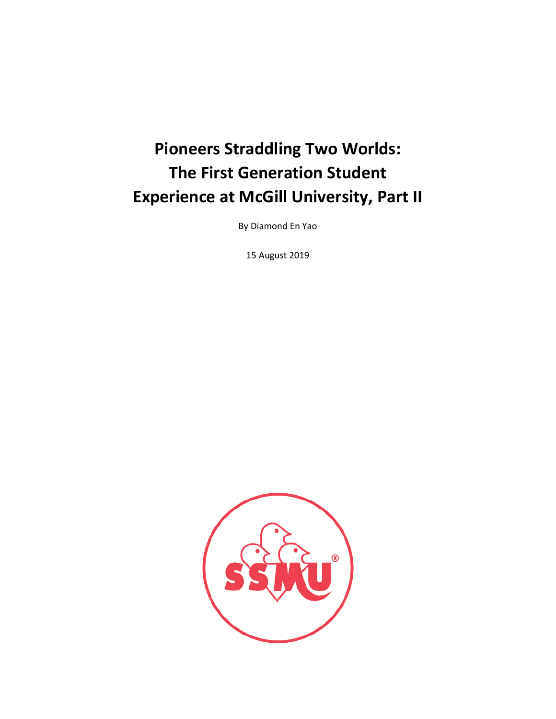# **Pioneers Straddling Two Worlds: The First Generation Student Experience at McGill University, Part II**

By Diamond En Yao

15 August 2019

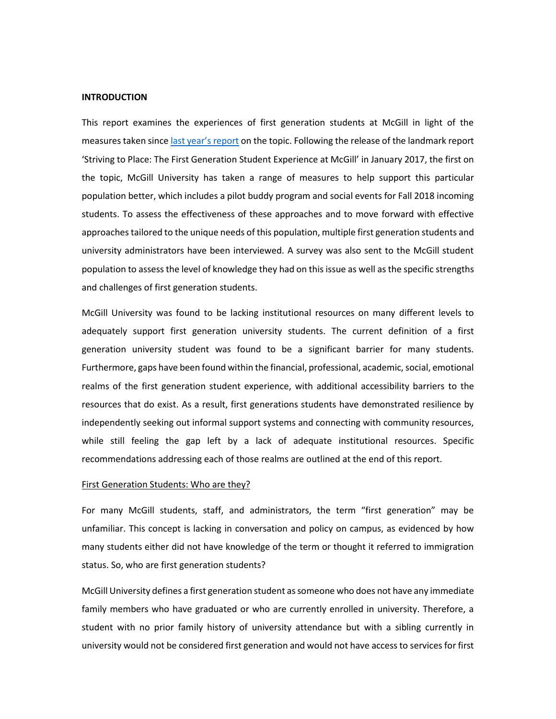#### **INTRODUCTION**

This report examines the experiences of first generation students at McGill in light of the measures taken since [last year's report](https://ua.ssmu.ca/wp-content/uploads/2017/01/Striving-to-Place-The-First-Generation-Student-Experience-at-McGill.pdf) on the topic. Following the release of the landmark report 'Striving to Place: The First Generation Student Experience at McGill' in January 2017, the first on the topic, McGill University has taken a range of measures to help support this particular population better, which includes a pilot buddy program and social events for Fall 2018 incoming students. To assess the effectiveness of these approaches and to move forward with effective approaches tailored to the unique needs of this population, multiple first generation students and university administrators have been interviewed. A survey was also sent to the McGill student population to assess the level of knowledge they had on this issue as well as the specific strengths and challenges of first generation students.

McGill University was found to be lacking institutional resources on many different levels to adequately support first generation university students. The current definition of a first generation university student was found to be a significant barrier for many students. Furthermore, gaps have been found within the financial, professional, academic, social, emotional realms of the first generation student experience, with additional accessibility barriers to the resources that do exist. As a result, first generations students have demonstrated resilience by independently seeking out informal support systems and connecting with community resources, while still feeling the gap left by a lack of adequate institutional resources. Specific recommendations addressing each of those realms are outlined at the end of this report.

#### First Generation Students: Who are they?

For many McGill students, staff, and administrators, the term "first generation" may be unfamiliar. This concept is lacking in conversation and policy on campus, as evidenced by how many students either did not have knowledge of the term or thought it referred to immigration status. So, who are first generation students?

McGill University defines a first generation student as someone who does not have any immediate family members who have graduated or who are currently enrolled in university. Therefore, a student with no prior family history of university attendance but with a sibling currently in university would not be considered first generation and would not have access to services for first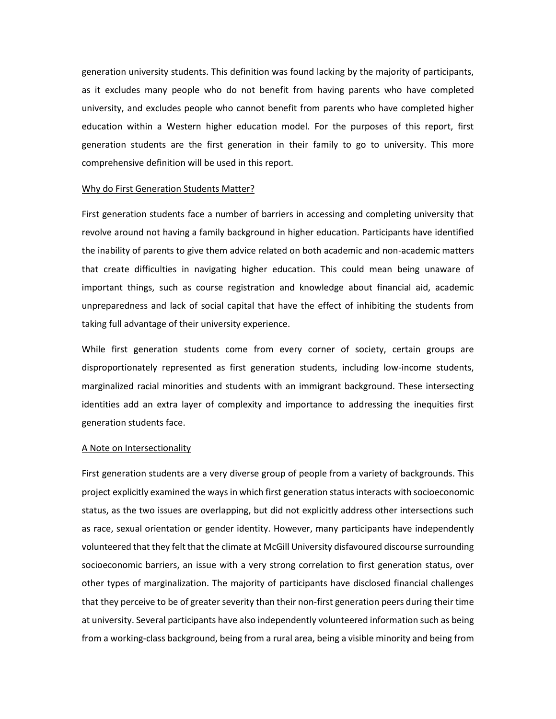generation university students. This definition was found lacking by the majority of participants, as it excludes many people who do not benefit from having parents who have completed university, and excludes people who cannot benefit from parents who have completed higher education within a Western higher education model. For the purposes of this report, first generation students are the first generation in their family to go to university. This more comprehensive definition will be used in this report.

#### Why do First Generation Students Matter?

First generation students face a number of barriers in accessing and completing university that revolve around not having a family background in higher education. Participants have identified the inability of parents to give them advice related on both academic and non-academic matters that create difficulties in navigating higher education. This could mean being unaware of important things, such as course registration and knowledge about financial aid, academic unpreparedness and lack of social capital that have the effect of inhibiting the students from taking full advantage of their university experience.

While first generation students come from every corner of society, certain groups are disproportionately represented as first generation students, including low-income students, marginalized racial minorities and students with an immigrant background. These intersecting identities add an extra layer of complexity and importance to addressing the inequities first generation students face.

# A Note on Intersectionality

First generation students are a very diverse group of people from a variety of backgrounds. This project explicitly examined the ways in which first generation status interacts with socioeconomic status, as the two issues are overlapping, but did not explicitly address other intersections such as race, sexual orientation or gender identity. However, many participants have independently volunteered that they felt that the climate at McGill University disfavoured discourse surrounding socioeconomic barriers, an issue with a very strong correlation to first generation status, over other types of marginalization. The majority of participants have disclosed financial challenges that they perceive to be of greater severity than their non-first generation peers during their time at university. Several participants have also independently volunteered information such as being from a working-class background, being from a rural area, being a visible minority and being from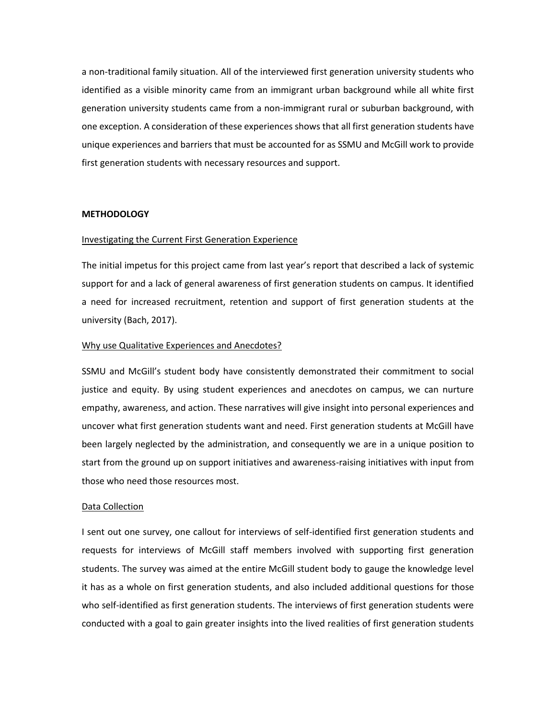a non-traditional family situation. All of the interviewed first generation university students who identified as a visible minority came from an immigrant urban background while all white first generation university students came from a non-immigrant rural or suburban background, with one exception. A consideration of these experiences shows that all first generation students have unique experiences and barriers that must be accounted for as SSMU and McGill work to provide first generation students with necessary resources and support.

### **METHODOLOGY**

#### Investigating the Current First Generation Experience

The initial impetus for this project came from last year's report that described a lack of systemic support for and a lack of general awareness of first generation students on campus. It identified a need for increased recruitment, retention and support of first generation students at the university (Bach, 2017).

## Why use Qualitative Experiences and Anecdotes?

SSMU and McGill's student body have consistently demonstrated their commitment to social justice and equity. By using student experiences and anecdotes on campus, we can nurture empathy, awareness, and action. These narratives will give insight into personal experiences and uncover what first generation students want and need. First generation students at McGill have been largely neglected by the administration, and consequently we are in a unique position to start from the ground up on support initiatives and awareness-raising initiatives with input from those who need those resources most.

#### Data Collection

I sent out one survey, one callout for interviews of self-identified first generation students and requests for interviews of McGill staff members involved with supporting first generation students. The survey was aimed at the entire McGill student body to gauge the knowledge level it has as a whole on first generation students, and also included additional questions for those who self-identified as first generation students. The interviews of first generation students were conducted with a goal to gain greater insights into the lived realities of first generation students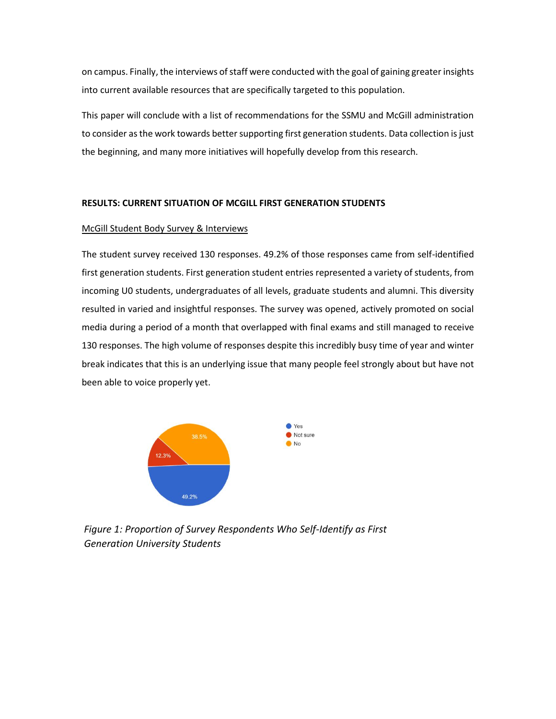on campus. Finally, the interviews of staff were conducted with the goal of gaining greater insights into current available resources that are specifically targeted to this population.

This paper will conclude with a list of recommendations for the SSMU and McGill administration to consider as the work towards better supporting first generation students. Data collection is just the beginning, and many more initiatives will hopefully develop from this research.

# **RESULTS: CURRENT SITUATION OF MCGILL FIRST GENERATION STUDENTS**

# McGill Student Body Survey & Interviews

The student survey received 130 responses. 49.2% of those responses came from self-identified first generation students. First generation student entries represented a variety of students, from incoming U0 students, undergraduates of all levels, graduate students and alumni. This diversity resulted in varied and insightful responses. The survey was opened, actively promoted on social media during a period of a month that overlapped with final exams and still managed to receive 130 responses. The high volume of responses despite this incredibly busy time of year and winter break indicates that this is an underlying issue that many people feel strongly about but have not been able to voice properly yet.



*Figure 1: Proportion of Survey Respondents Who Self-Identify as First Generation University Students*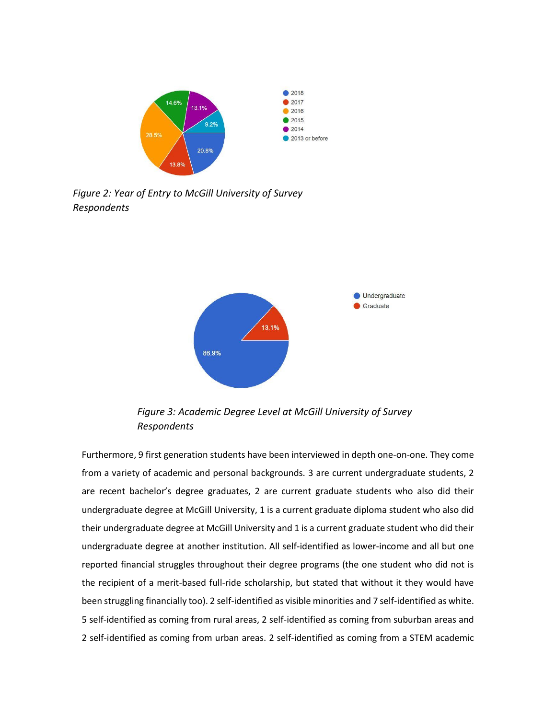

*Figure 2: Year of Entry to McGill University of Survey Respondents*



*Figure 3: Academic Degree Level at McGill University of Survey Respondents*

Furthermore, 9 first generation students have been interviewed in depth one-on-one. They come from a variety of academic and personal backgrounds. 3 are current undergraduate students, 2 are recent bachelor's degree graduates, 2 are current graduate students who also did their undergraduate degree at McGill University, 1 is a current graduate diploma student who also did their undergraduate degree at McGill University and 1 is a current graduate student who did their undergraduate degree at another institution. All self-identified as lower-income and all but one reported financial struggles throughout their degree programs (the one student who did not is the recipient of a merit-based full-ride scholarship, but stated that without it they would have been struggling financially too). 2 self-identified as visible minorities and 7 self-identified as white. 5 self-identified as coming from rural areas, 2 self-identified as coming from suburban areas and 2 self-identified as coming from urban areas. 2 self-identified as coming from a STEM academic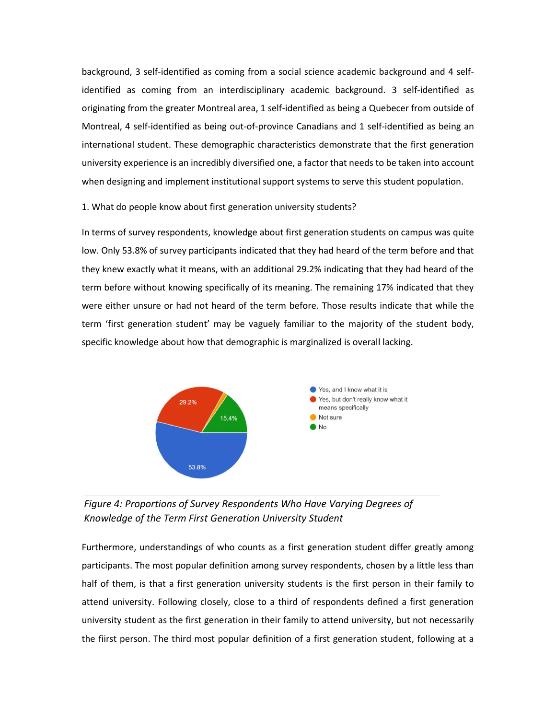background, 3 self-identified as coming from a social science academic background and 4 selfidentified as coming from an interdisciplinary academic background. 3 self-identified as originating from the greater Montreal area, 1 self-identified as being a Quebecer from outside of Montreal, 4 self-identified as being out-of-province Canadians and 1 self-identified as being an international student. These demographic characteristics demonstrate that the first generation university experience is an incredibly diversified one, a factor that needs to be taken into account when designing and implement institutional support systems to serve this student population.

1. What do people know about first generation university students?

In terms of survey respondents, knowledge about first generation students on campus was quite low. Only 53.8% of survey participants indicated that they had heard of the term before and that they knew exactly what it means, with an additional 29.2% indicating that they had heard of the term before without knowing specifically of its meaning. The remaining 17% indicated that they were either unsure or had not heard of the term before. Those results indicate that while the term 'first generation student' may be vaguely familiar to the majority of the student body, specific knowledge about how that demographic is marginalized is overall lacking.



*Figure 4: Proportions of Survey Respondents Who Have Varying Degrees of Knowledge of the Term First Generation University Student*

Furthermore, understandings of who counts as a first generation student differ greatly among participants. The most popular definition among survey respondents, chosen by a little less than half of them, is that a first generation university students is the first person in their family to attend university. Following closely, close to a third of respondents defined a first generation university student as the first generation in their family to attend university, but not necessarily the fiirst person. The third most popular definition of a first generation student, following at a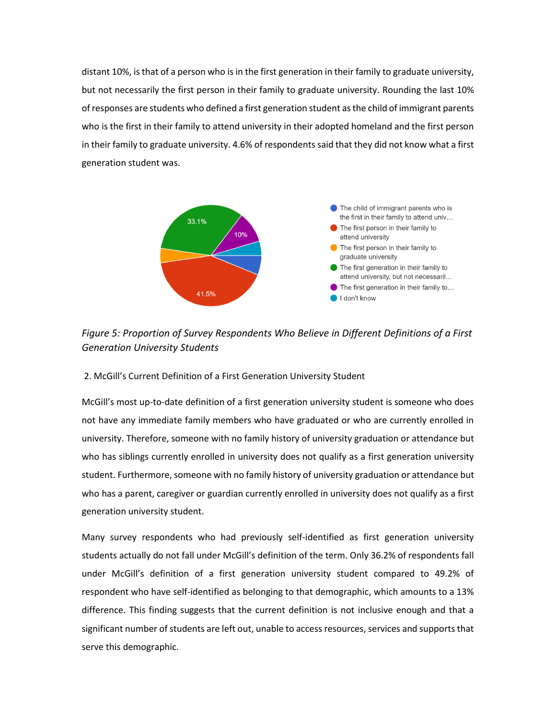distant 10%, is that of a person who is in the first generation in their family to graduate university, but not necessarily the first person in their family to graduate university. Rounding the last 10% of responses are students who defined a first generation student as the child of immigrant parents who is the first in their family to attend university in their adopted homeland and the first person in their family to graduate university. 4.6% of respondents said that they did not know what a first generation student was.



*Figure 5: Proportion of Survey Respondents Who Believe in Different Definitions of a First Generation University Students* 

# 2. McGill's Current Definition of a First Generation University Student

McGill's most up-to-date definition of a first generation university student is someone who does not have any immediate family members who have graduated or who are currently enrolled in university. Therefore, someone with no family history of university graduation or attendance but who has siblings currently enrolled in university does not qualify as a first generation university student. Furthermore, someone with no family history of university graduation or attendance but who has a parent, caregiver or guardian currently enrolled in university does not qualify as a first generation university student.

Many survey respondents who had previously self-identified as first generation university students actually do not fall under McGill's definition of the term. Only 36.2% of respondents fall under McGill's definition of a first generation university student compared to 49.2% of respondent who have self-identified as belonging to that demographic, which amounts to a 13% difference. This finding suggests that the current definition is not inclusive enough and that a significant number of students are left out, unable to access resources, services and supports that serve this demographic.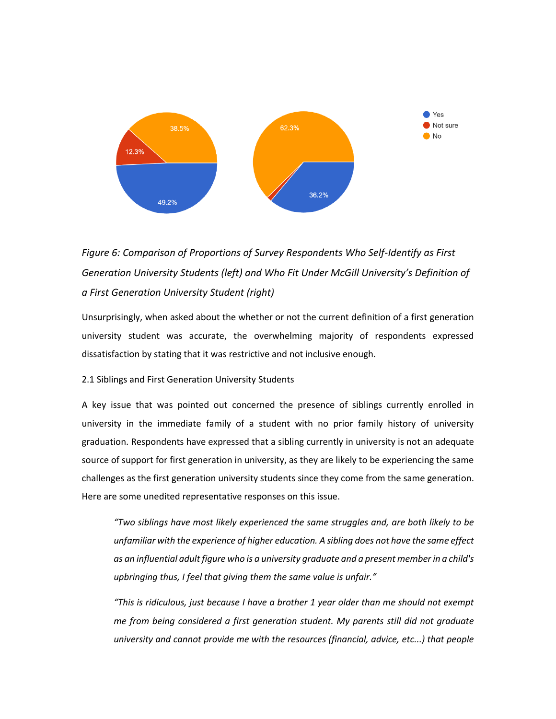

# *Figure 6: Comparison of Proportions of Survey Respondents Who Self-Identify as First Generation University Students (left) and Who Fit Under McGill University's Definition of a First Generation University Student (right)*

Unsurprisingly, when asked about the whether or not the current definition of a first generation university student was accurate, the overwhelming majority of respondents expressed dissatisfaction by stating that it was restrictive and not inclusive enough.

# 2.1 Siblings and First Generation University Students

A key issue that was pointed out concerned the presence of siblings currently enrolled in university in the immediate family of a student with no prior family history of university graduation. Respondents have expressed that a sibling currently in university is not an adequate source of support for first generation in university, as they are likely to be experiencing the same challenges as the first generation university students since they come from the same generation. Here are some unedited representative responses on this issue.

*"Two siblings have most likely experienced the same struggles and, are both likely to be unfamiliar with the experience of higher education. A sibling does not have the same effect as an influential adult figure who is a university graduate and a present member in a child's upbringing thus, I feel that giving them the same value is unfair."*

*"This is ridiculous, just because I have a brother 1 year older than me should not exempt me from being considered a first generation student. My parents still did not graduate university and cannot provide me with the resources (financial, advice, etc...) that people*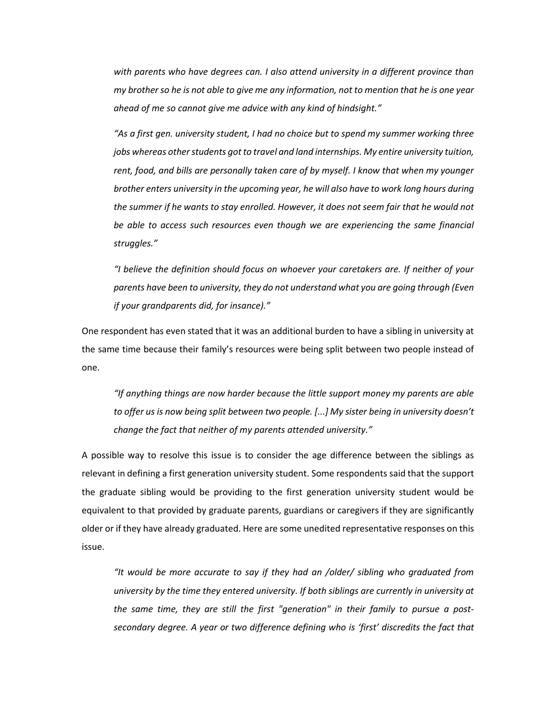*with parents who have degrees can. I also attend university in a different province than my brother so he is not able to give me any information, not to mention that he is one year ahead of me so cannot give me advice with any kind of hindsight."*

*"As a first gen. university student, I had no choice but to spend my summer working three jobs whereas other students got to travel and land internships. My entire university tuition, rent, food, and bills are personally taken care of by myself. I know that when my younger brother enters university in the upcoming year, he will also have to work long hours during the summer if he wants to stay enrolled. However, it does not seem fair that he would not be able to access such resources even though we are experiencing the same financial struggles."*

*"I believe the definition should focus on whoever your caretakers are. If neither of your parents have been to university, they do not understand what you are going through (Even if your grandparents did, for insance)."*

One respondent has even stated that it was an additional burden to have a sibling in university at the same time because their family's resources were being split between two people instead of one.

*"If anything things are now harder because the little support money my parents are able to offer us is now being split between two people. [...] My sister being in university doesn't change the fact that neither of my parents attended university."*

A possible way to resolve this issue is to consider the age difference between the siblings as relevant in defining a first generation university student. Some respondents said that the support the graduate sibling would be providing to the first generation university student would be equivalent to that provided by graduate parents, guardians or caregivers if they are significantly older or if they have already graduated. Here are some unedited representative responses on this issue.

*"It would be more accurate to say if they had an /older/ sibling who graduated from university by the time they entered university. If both siblings are currently in university at the same time, they are still the first "generation" in their family to pursue a postsecondary degree. A year or two difference defining who is 'first' discredits the fact that*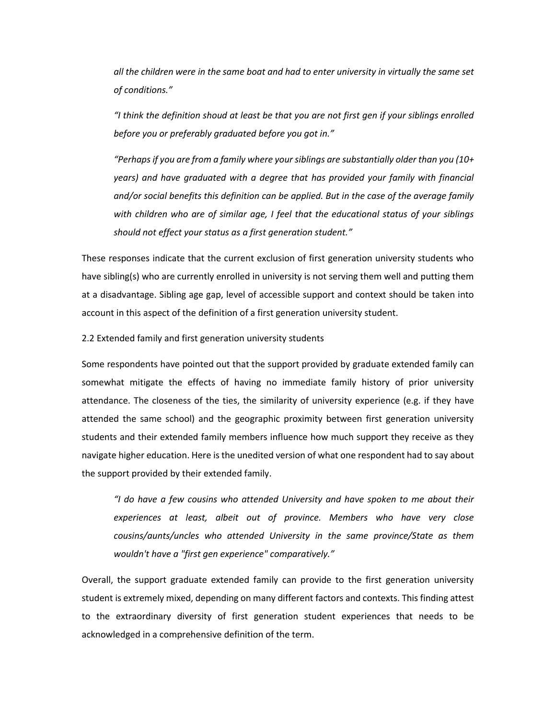*all the children were in the same boat and had to enter university in virtually the same set of conditions."*

*"I think the definition shoud at least be that you are not first gen if your siblings enrolled before you or preferably graduated before you got in."*

*"Perhaps if you are from a family where your siblings are substantially older than you (10+ years) and have graduated with a degree that has provided your family with financial and/or social benefits this definition can be applied. But in the case of the average family with children who are of similar age, I feel that the educational status of your siblings should not effect your status as a first generation student."*

These responses indicate that the current exclusion of first generation university students who have sibling(s) who are currently enrolled in university is not serving them well and putting them at a disadvantage. Sibling age gap, level of accessible support and context should be taken into account in this aspect of the definition of a first generation university student.

2.2 Extended family and first generation university students

Some respondents have pointed out that the support provided by graduate extended family can somewhat mitigate the effects of having no immediate family history of prior university attendance. The closeness of the ties, the similarity of university experience (e.g. if they have attended the same school) and the geographic proximity between first generation university students and their extended family members influence how much support they receive as they navigate higher education. Here is the unedited version of what one respondent had to say about the support provided by their extended family.

*"I do have a few cousins who attended University and have spoken to me about their experiences at least, albeit out of province. Members who have very close cousins/aunts/uncles who attended University in the same province/State as them wouldn't have a "first gen experience" comparatively."*

Overall, the support graduate extended family can provide to the first generation university student is extremely mixed, depending on many different factors and contexts. This finding attest to the extraordinary diversity of first generation student experiences that needs to be acknowledged in a comprehensive definition of the term.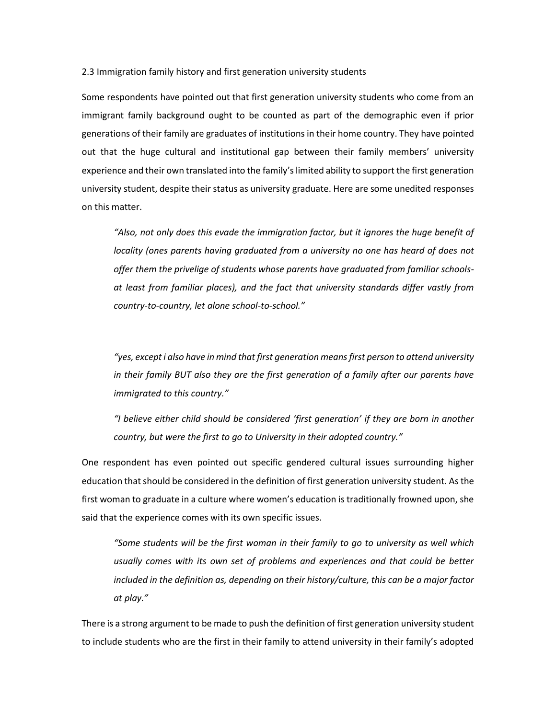2.3 Immigration family history and first generation university students

Some respondents have pointed out that first generation university students who come from an immigrant family background ought to be counted as part of the demographic even if prior generations of their family are graduates of institutions in their home country. They have pointed out that the huge cultural and institutional gap between their family members' university experience and their own translated into the family's limited ability to support the first generation university student, despite their status as university graduate. Here are some unedited responses on this matter.

*"Also, not only does this evade the immigration factor, but it ignores the huge benefit of locality (ones parents having graduated from a university no one has heard of does not offer them the privelige of students whose parents have graduated from familiar schoolsat least from familiar places), and the fact that university standards differ vastly from country-to-country, let alone school-to-school."*

*"yes, except i also have in mind that first generation means first person to attend university in their family BUT also they are the first generation of a family after our parents have immigrated to this country."*

*"I believe either child should be considered 'first generation' if they are born in another country, but were the first to go to University in their adopted country."*

One respondent has even pointed out specific gendered cultural issues surrounding higher education that should be considered in the definition of first generation university student. As the first woman to graduate in a culture where women's education is traditionally frowned upon, she said that the experience comes with its own specific issues.

*"Some students will be the first woman in their family to go to university as well which usually comes with its own set of problems and experiences and that could be better included in the definition as, depending on their history/culture, this can be a major factor at play."*

There is a strong argument to be made to push the definition of first generation university student to include students who are the first in their family to attend university in their family's adopted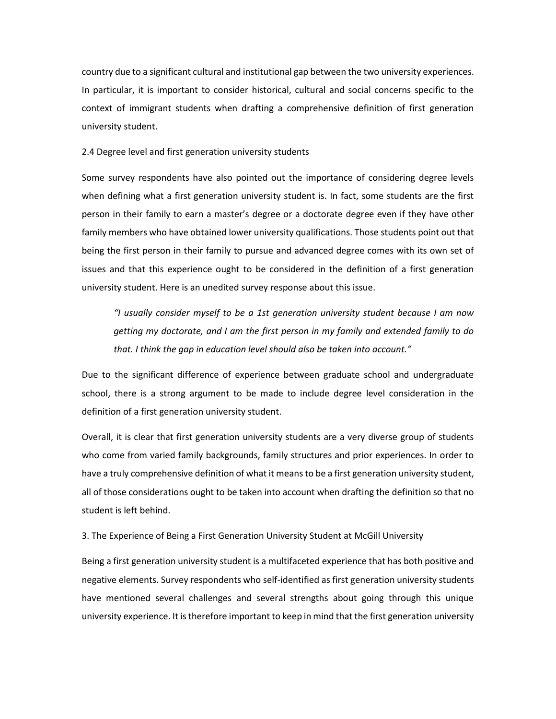country due to a significant cultural and institutional gap between the two university experiences. In particular, it is important to consider historical, cultural and social concerns specific to the context of immigrant students when drafting a comprehensive definition of first generation university student.

# 2.4 Degree level and first generation university students

Some survey respondents have also pointed out the importance of considering degree levels when defining what a first generation university student is. In fact, some students are the first person in their family to earn a master's degree or a doctorate degree even if they have other family members who have obtained lower university qualifications. Those students point out that being the first person in their family to pursue and advanced degree comes with its own set of issues and that this experience ought to be considered in the definition of a first generation university student. Here is an unedited survey response about this issue.

*"I usually consider myself to be a 1st generation university student because I am now getting my doctorate, and I am the first person in my family and extended family to do that. I think the gap in education level should also be taken into account."*

Due to the significant difference of experience between graduate school and undergraduate school, there is a strong argument to be made to include degree level consideration in the definition of a first generation university student.

Overall, it is clear that first generation university students are a very diverse group of students who come from varied family backgrounds, family structures and prior experiences. In order to have a truly comprehensive definition of what it means to be a first generation university student, all of those considerations ought to be taken into account when drafting the definition so that no student is left behind.

3. The Experience of Being a First Generation University Student at McGill University

Being a first generation university student is a multifaceted experience that has both positive and negative elements. Survey respondents who self-identified as first generation university students have mentioned several challenges and several strengths about going through this unique university experience. It is therefore important to keep in mind that the first generation university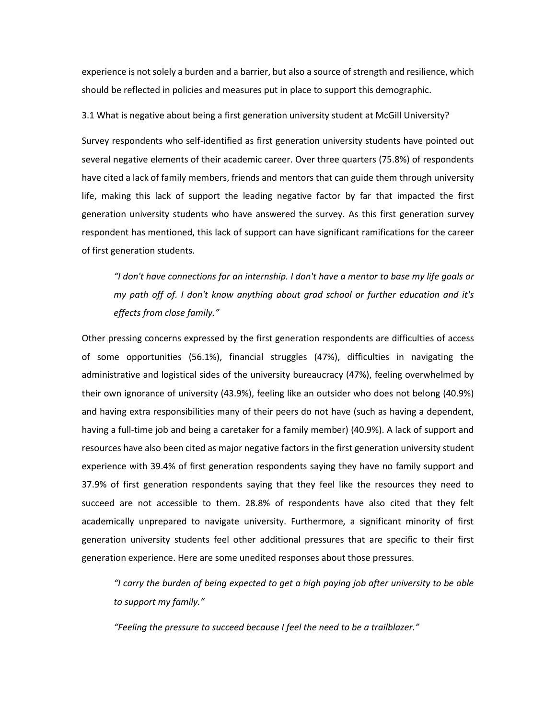experience is not solely a burden and a barrier, but also a source of strength and resilience, which should be reflected in policies and measures put in place to support this demographic.

3.1 What is negative about being a first generation university student at McGill University?

Survey respondents who self-identified as first generation university students have pointed out several negative elements of their academic career. Over three quarters (75.8%) of respondents have cited a lack of family members, friends and mentors that can guide them through university life, making this lack of support the leading negative factor by far that impacted the first generation university students who have answered the survey. As this first generation survey respondent has mentioned, this lack of support can have significant ramifications for the career of first generation students.

*"I don't have connections for an internship. I don't have a mentor to base my life goals or my path off of. I don't know anything about grad school or further education and it's effects from close family."*

Other pressing concerns expressed by the first generation respondents are difficulties of access of some opportunities (56.1%), financial struggles (47%), difficulties in navigating the administrative and logistical sides of the university bureaucracy (47%), feeling overwhelmed by their own ignorance of university (43.9%), feeling like an outsider who does not belong (40.9%) and having extra responsibilities many of their peers do not have (such as having a dependent, having a full-time job and being a caretaker for a family member) (40.9%). A lack of support and resources have also been cited as major negative factors in the first generation university student experience with 39.4% of first generation respondents saying they have no family support and 37.9% of first generation respondents saying that they feel like the resources they need to succeed are not accessible to them. 28.8% of respondents have also cited that they felt academically unprepared to navigate university. Furthermore, a significant minority of first generation university students feel other additional pressures that are specific to their first generation experience. Here are some unedited responses about those pressures.

*"I carry the burden of being expected to get a high paying job after university to be able to support my family."*

*"Feeling the pressure to succeed because I feel the need to be a trailblazer."*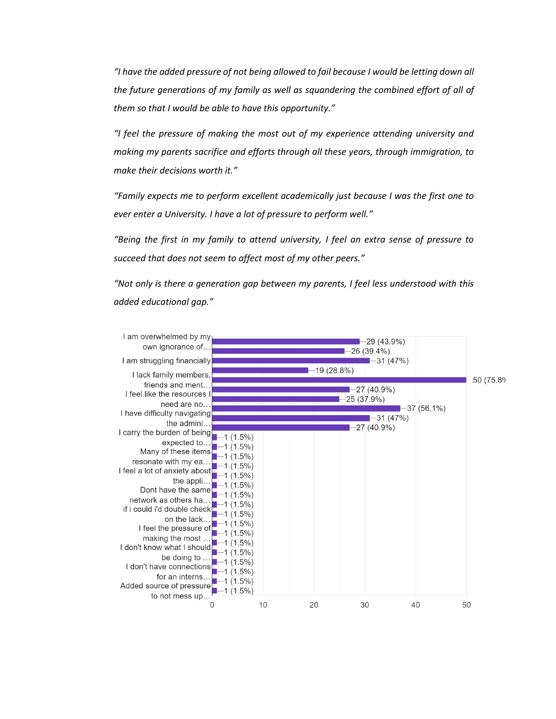*"I have the added pressure of not being allowed to fail because I would be letting down all the future generations of my family as well as squandering the combined effort of all of them so that I would be able to have this opportunity."*

*"I feel the pressure of making the most out of my experience attending university and making my parents sacrifice and efforts through all these years, through immigration, to make their decisions worth it."*

*"Family expects me to perform excellent academically just because I was the first one to ever enter a University. I have a lot of pressure to perform well."*

*"Being the first in my family to attend university, I feel an extra sense of pressure to succeed that does not seem to affect most of my other peers."*

*"Not only is there a generation gap between my parents, I feel less understood with this added educational gap."*

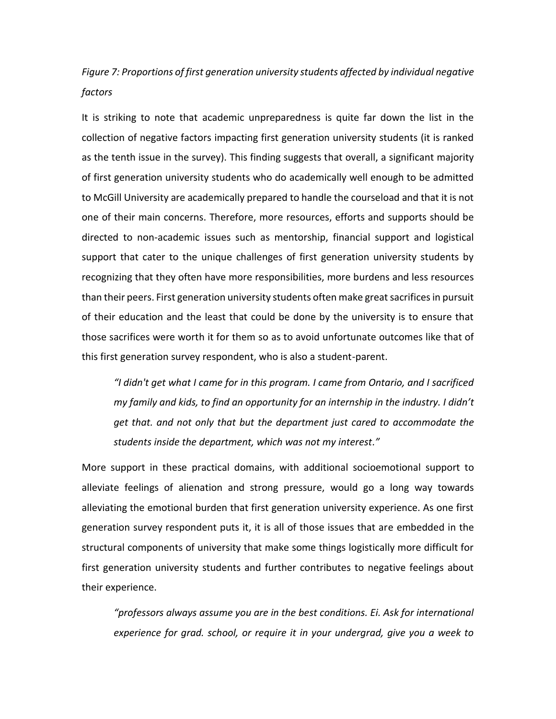# *Figure 7: Proportions of first generation university students affected by individual negative factors*

It is striking to note that academic unpreparedness is quite far down the list in the collection of negative factors impacting first generation university students (it is ranked as the tenth issue in the survey). This finding suggests that overall, a significant majority of first generation university students who do academically well enough to be admitted to McGill University are academically prepared to handle the courseload and that it is not one of their main concerns. Therefore, more resources, efforts and supports should be directed to non-academic issues such as mentorship, financial support and logistical support that cater to the unique challenges of first generation university students by recognizing that they often have more responsibilities, more burdens and less resources than their peers. First generation university students often make great sacrifices in pursuit of their education and the least that could be done by the university is to ensure that those sacrifices were worth it for them so as to avoid unfortunate outcomes like that of this first generation survey respondent, who is also a student-parent.

*"I didn't get what I came for in this program. I came from Ontario, and I sacrificed my family and kids, to find an opportunity for an internship in the industry. I didn't get that. and not only that but the department just cared to accommodate the students inside the department, which was not my interest."*

More support in these practical domains, with additional socioemotional support to alleviate feelings of alienation and strong pressure, would go a long way towards alleviating the emotional burden that first generation university experience. As one first generation survey respondent puts it, it is all of those issues that are embedded in the structural components of university that make some things logistically more difficult for first generation university students and further contributes to negative feelings about their experience.

*"professors always assume you are in the best conditions. Ei. Ask for international experience for grad. school, or require it in your undergrad, give you a week to*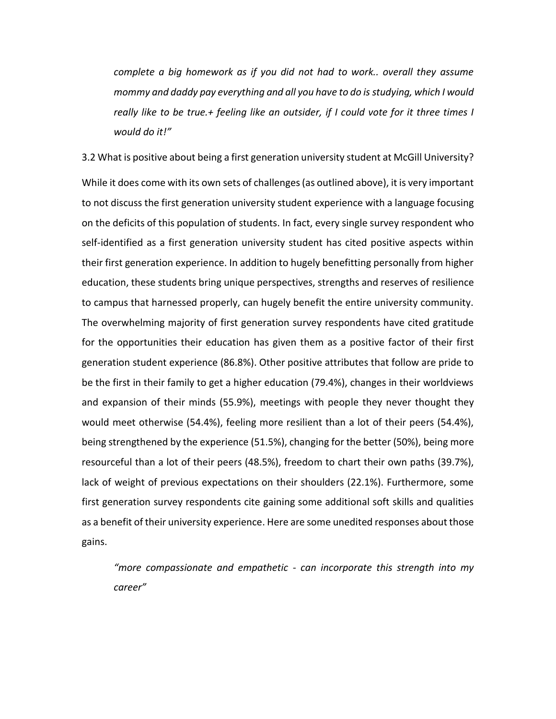*complete a big homework as if you did not had to work.. overall they assume mommy and daddy pay everything and all you have to do is studying, which I would really like to be true.+ feeling like an outsider, if I could vote for it three times I would do it!"*

3.2 What is positive about being a first generation university student at McGill University? While it does come with its own sets of challenges (as outlined above), it is very important to not discuss the first generation university student experience with a language focusing on the deficits of this population of students. In fact, every single survey respondent who self-identified as a first generation university student has cited positive aspects within their first generation experience. In addition to hugely benefitting personally from higher education, these students bring unique perspectives, strengths and reserves of resilience to campus that harnessed properly, can hugely benefit the entire university community. The overwhelming majority of first generation survey respondents have cited gratitude for the opportunities their education has given them as a positive factor of their first generation student experience (86.8%). Other positive attributes that follow are pride to be the first in their family to get a higher education (79.4%), changes in their worldviews and expansion of their minds (55.9%), meetings with people they never thought they would meet otherwise (54.4%), feeling more resilient than a lot of their peers (54.4%), being strengthened by the experience (51.5%), changing for the better (50%), being more resourceful than a lot of their peers (48.5%), freedom to chart their own paths (39.7%), lack of weight of previous expectations on their shoulders (22.1%). Furthermore, some first generation survey respondents cite gaining some additional soft skills and qualities as a benefit of their university experience. Here are some unedited responses about those gains.

*"more compassionate and empathetic - can incorporate this strength into my career"*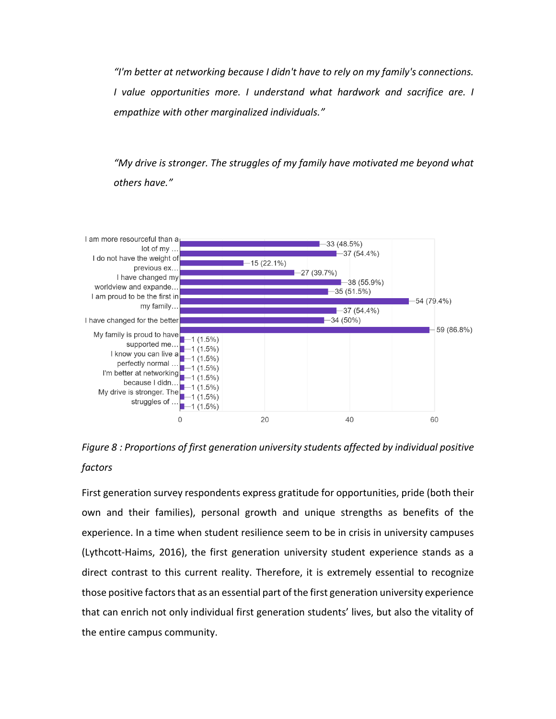*"I'm better at networking because I didn't have to rely on my family's connections. I* value opportunities more. *I* understand what hardwork and sacrifice are. *I empathize with other marginalized individuals."*

*"My drive is stronger. The struggles of my family have motivated me beyond what others have."*



*Figure 8 : Proportions of first generation university students affected by individual positive factors*

First generation survey respondents express gratitude for opportunities, pride (both their own and their families), personal growth and unique strengths as benefits of the experience. In a time when student resilience seem to be in crisis in university campuses (Lythcott-Haims, 2016), the first generation university student experience stands as a direct contrast to this current reality. Therefore, it is extremely essential to recognize those positive factors that as an essential part of the first generation university experience that can enrich not only individual first generation students' lives, but also the vitality of the entire campus community.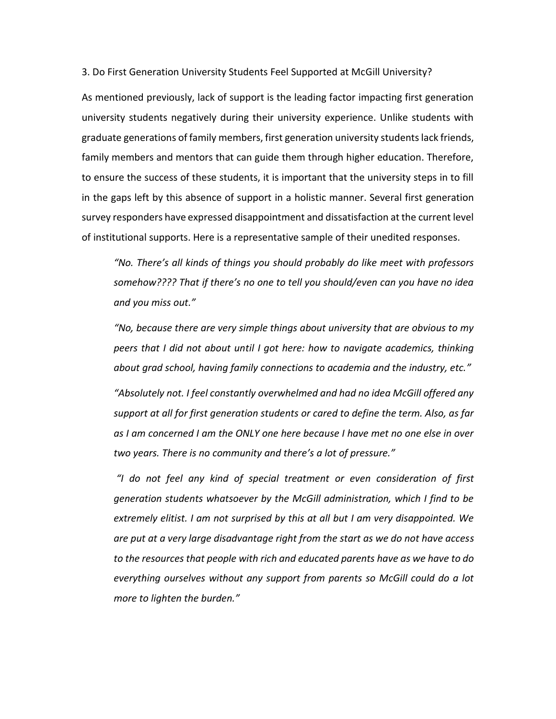3. Do First Generation University Students Feel Supported at McGill University?

As mentioned previously, lack of support is the leading factor impacting first generation university students negatively during their university experience. Unlike students with graduate generations of family members, first generation university students lack friends, family members and mentors that can guide them through higher education. Therefore, to ensure the success of these students, it is important that the university steps in to fill in the gaps left by this absence of support in a holistic manner. Several first generation survey responders have expressed disappointment and dissatisfaction at the current level of institutional supports. Here is a representative sample of their unedited responses.

*"No. There's all kinds of things you should probably do like meet with professors somehow???? That if there's no one to tell you should/even can you have no idea and you miss out."*

*"No, because there are very simple things about university that are obvious to my peers that I did not about until I got here: how to navigate academics, thinking about grad school, having family connections to academia and the industry, etc."*

*"Absolutely not. I feel constantly overwhelmed and had no idea McGill offered any support at all for first generation students or cared to define the term. Also, as far as I am concerned I am the ONLY one here because I have met no one else in over two years. There is no community and there's a lot of pressure."*

*"I do not feel any kind of special treatment or even consideration of first generation students whatsoever by the McGill administration, which I find to be extremely elitist. I am not surprised by this at all but I am very disappointed. We are put at a very large disadvantage right from the start as we do not have access to the resources that people with rich and educated parents have as we have to do everything ourselves without any support from parents so McGill could do a lot more to lighten the burden."*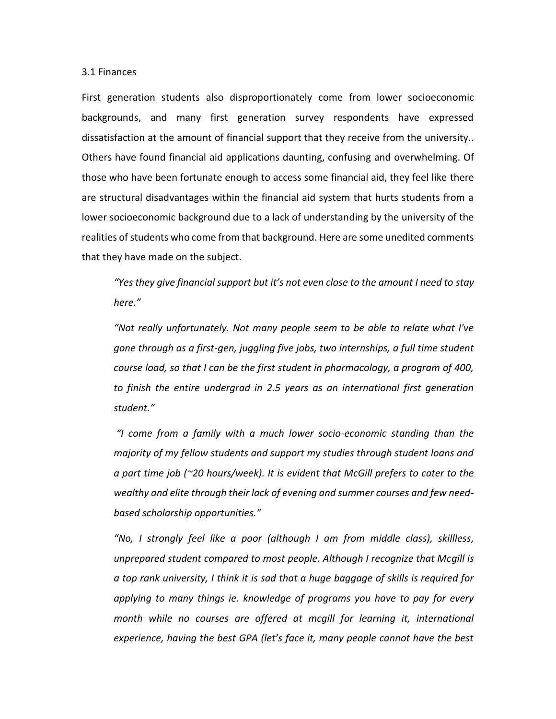# 3.1 Finances

First generation students also disproportionately come from lower socioeconomic backgrounds, and many first generation survey respondents have expressed dissatisfaction at the amount of financial support that they receive from the university.. Others have found financial aid applications daunting, confusing and overwhelming. Of those who have been fortunate enough to access some financial aid, they feel like there are structural disadvantages within the financial aid system that hurts students from a lower socioeconomic background due to a lack of understanding by the university of the realities of students who come from that background. Here are some unedited comments that they have made on the subject.

*"Yes they give financial support but it's not even close to the amount I need to stay here."*

*"Not really unfortunately. Not many people seem to be able to relate what I've gone through as a first-gen, juggling five jobs, two internships, a full time student course load, so that I can be the first student in pharmacology, a program of 400, to finish the entire undergrad in 2.5 years as an international first generation student."*

*"I come from a family with a much lower socio-economic standing than the majority of my fellow students and support my studies through student loans and a part time job (~20 hours/week). It is evident that McGill prefers to cater to the wealthy and elite through their lack of evening and summer courses and few needbased scholarship opportunities."*

*"No, I strongly feel like a poor (although I am from middle class), skillless, unprepared student compared to most people. Although I recognize that Mcgill is a top rank university, I think it is sad that a huge baggage of skills is required for applying to many things ie. knowledge of programs you have to pay for every month while no courses are offered at mcgill for learning it, international experience, having the best GPA (let's face it, many people cannot have the best*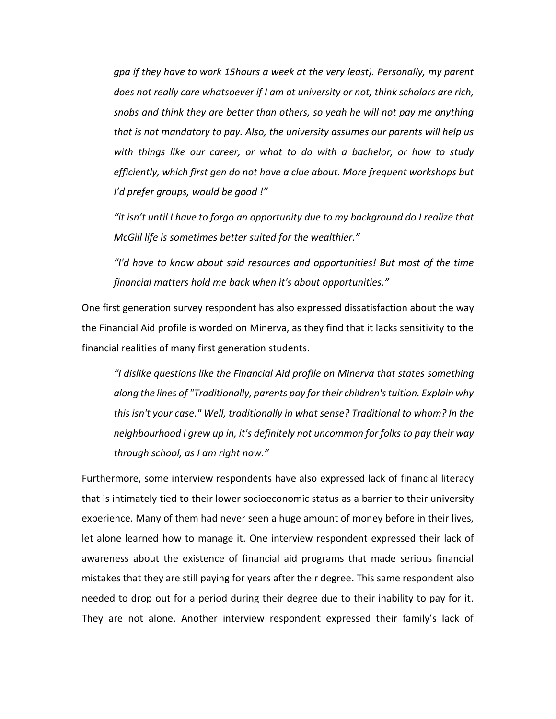*gpa if they have to work 15hours a week at the very least). Personally, my parent does not really care whatsoever if I am at university or not, think scholars are rich, snobs and think they are better than others, so yeah he will not pay me anything that is not mandatory to pay. Also, the university assumes our parents will help us with things like our career, or what to do with a bachelor, or how to study efficiently, which first gen do not have a clue about. More frequent workshops but I'd prefer groups, would be good !"*

*"it isn't until I have to forgo an opportunity due to my background do I realize that McGill life is sometimes better suited for the wealthier."*

*"I'd have to know about said resources and opportunities! But most of the time financial matters hold me back when it's about opportunities."*

One first generation survey respondent has also expressed dissatisfaction about the way the Financial Aid profile is worded on Minerva, as they find that it lacks sensitivity to the financial realities of many first generation students.

*"I dislike questions like the Financial Aid profile on Minerva that states something along the lines of "Traditionally, parents pay for their children's tuition. Explain why this isn't your case." Well, traditionally in what sense? Traditional to whom? In the neighbourhood I grew up in, it's definitely not uncommon for folks to pay their way through school, as I am right now."*

Furthermore, some interview respondents have also expressed lack of financial literacy that is intimately tied to their lower socioeconomic status as a barrier to their university experience. Many of them had never seen a huge amount of money before in their lives, let alone learned how to manage it. One interview respondent expressed their lack of awareness about the existence of financial aid programs that made serious financial mistakes that they are still paying for years after their degree. This same respondent also needed to drop out for a period during their degree due to their inability to pay for it. They are not alone. Another interview respondent expressed their family's lack of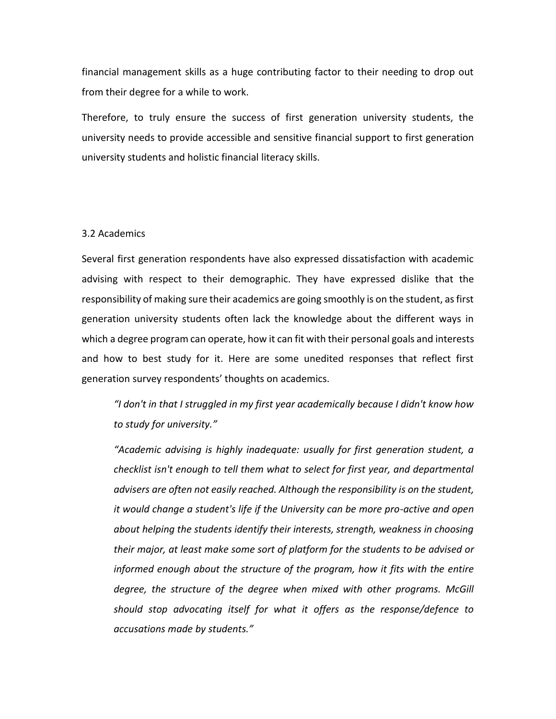financial management skills as a huge contributing factor to their needing to drop out from their degree for a while to work.

Therefore, to truly ensure the success of first generation university students, the university needs to provide accessible and sensitive financial support to first generation university students and holistic financial literacy skills.

# 3.2 Academics

Several first generation respondents have also expressed dissatisfaction with academic advising with respect to their demographic. They have expressed dislike that the responsibility of making sure their academics are going smoothly is on the student, as first generation university students often lack the knowledge about the different ways in which a degree program can operate, how it can fit with their personal goals and interests and how to best study for it. Here are some unedited responses that reflect first generation survey respondents' thoughts on academics.

*"I don't in that I struggled in my first year academically because I didn't know how to study for university."*

*"Academic advising is highly inadequate: usually for first generation student, a checklist isn't enough to tell them what to select for first year, and departmental advisers are often not easily reached. Although the responsibility is on the student, it would change a student's life if the University can be more pro-active and open about helping the students identify their interests, strength, weakness in choosing their major, at least make some sort of platform for the students to be advised or informed enough about the structure of the program, how it fits with the entire degree, the structure of the degree when mixed with other programs. McGill should stop advocating itself for what it offers as the response/defence to accusations made by students."*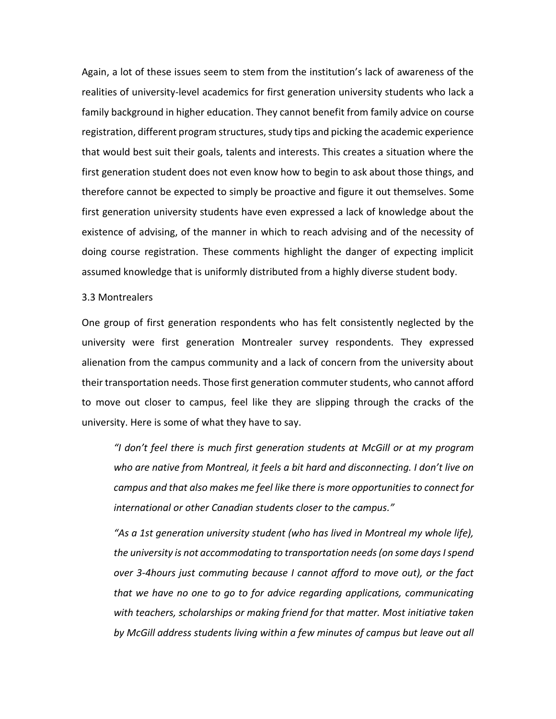Again, a lot of these issues seem to stem from the institution's lack of awareness of the realities of university-level academics for first generation university students who lack a family background in higher education. They cannot benefit from family advice on course registration, different program structures, study tips and picking the academic experience that would best suit their goals, talents and interests. This creates a situation where the first generation student does not even know how to begin to ask about those things, and therefore cannot be expected to simply be proactive and figure it out themselves. Some first generation university students have even expressed a lack of knowledge about the existence of advising, of the manner in which to reach advising and of the necessity of doing course registration. These comments highlight the danger of expecting implicit assumed knowledge that is uniformly distributed from a highly diverse student body.

# 3.3 Montrealers

One group of first generation respondents who has felt consistently neglected by the university were first generation Montrealer survey respondents. They expressed alienation from the campus community and a lack of concern from the university about their transportation needs. Those first generation commuter students, who cannot afford to move out closer to campus, feel like they are slipping through the cracks of the university. Here is some of what they have to say.

*"I don't feel there is much first generation students at McGill or at my program who are native from Montreal, it feels a bit hard and disconnecting. I don't live on campus and that also makes me feel like there is more opportunities to connect for international or other Canadian students closer to the campus."*

*"As a 1st generation university student (who has lived in Montreal my whole life), the university is not accommodating to transportation needs (on some days I spend over 3-4hours just commuting because I cannot afford to move out), or the fact that we have no one to go to for advice regarding applications, communicating with teachers, scholarships or making friend for that matter. Most initiative taken by McGill address students living within a few minutes of campus but leave out all*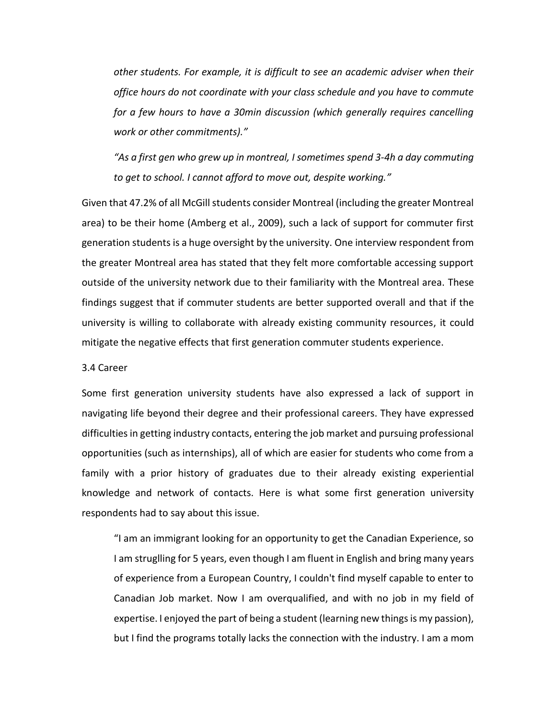*other students. For example, it is difficult to see an academic adviser when their office hours do not coordinate with your class schedule and you have to commute for a few hours to have a 30min discussion (which generally requires cancelling work or other commitments)."*

*"As a first gen who grew up in montreal, I sometimes spend 3-4h a day commuting to get to school. I cannot afford to move out, despite working."*

Given that 47.2% of all McGill students consider Montreal (including the greater Montreal area) to be their home (Amberg et al., 2009), such a lack of support for commuter first generation students is a huge oversight by the university. One interview respondent from the greater Montreal area has stated that they felt more comfortable accessing support outside of the university network due to their familiarity with the Montreal area. These findings suggest that if commuter students are better supported overall and that if the university is willing to collaborate with already existing community resources, it could mitigate the negative effects that first generation commuter students experience.

# 3.4 Career

Some first generation university students have also expressed a lack of support in navigating life beyond their degree and their professional careers. They have expressed difficulties in getting industry contacts, entering the job market and pursuing professional opportunities (such as internships), all of which are easier for students who come from a family with a prior history of graduates due to their already existing experiential knowledge and network of contacts. Here is what some first generation university respondents had to say about this issue.

"I am an immigrant looking for an opportunity to get the Canadian Experience, so I am struglling for 5 years, even though I am fluent in English and bring many years of experience from a European Country, I couldn't find myself capable to enter to Canadian Job market. Now I am overqualified, and with no job in my field of expertise. I enjoyed the part of being a student (learning new things is my passion), but I find the programs totally lacks the connection with the industry. I am a mom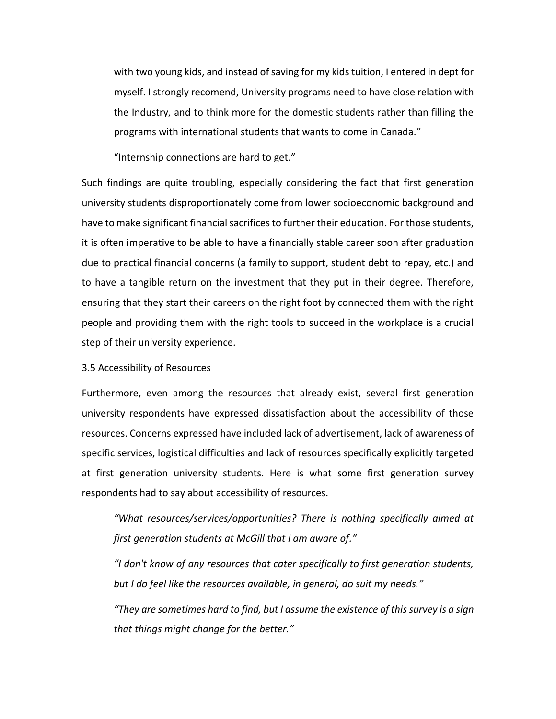with two young kids, and instead of saving for my kids tuition, I entered in dept for myself. I strongly recomend, University programs need to have close relation with the Industry, and to think more for the domestic students rather than filling the programs with international students that wants to come in Canada."

"Internship connections are hard to get."

Such findings are quite troubling, especially considering the fact that first generation university students disproportionately come from lower socioeconomic background and have to make significant financial sacrifices to further their education. For those students, it is often imperative to be able to have a financially stable career soon after graduation due to practical financial concerns (a family to support, student debt to repay, etc.) and to have a tangible return on the investment that they put in their degree. Therefore, ensuring that they start their careers on the right foot by connected them with the right people and providing them with the right tools to succeed in the workplace is a crucial step of their university experience.

3.5 Accessibility of Resources

Furthermore, even among the resources that already exist, several first generation university respondents have expressed dissatisfaction about the accessibility of those resources. Concerns expressed have included lack of advertisement, lack of awareness of specific services, logistical difficulties and lack of resources specifically explicitly targeted at first generation university students. Here is what some first generation survey respondents had to say about accessibility of resources.

*"What resources/services/opportunities? There is nothing specifically aimed at first generation students at McGill that I am aware of."*

*"I don't know of any resources that cater specifically to first generation students, but I do feel like the resources available, in general, do suit my needs."*

*"They are sometimes hard to find, but I assume the existence of this survey is a sign that things might change for the better."*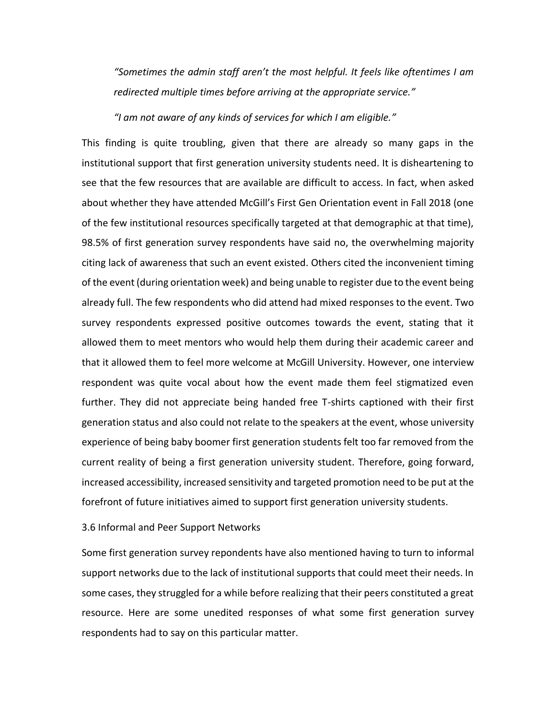*"Sometimes the admin staff aren't the most helpful. It feels like oftentimes I am redirected multiple times before arriving at the appropriate service."*

*"I am not aware of any kinds of services for which I am eligible."*

This finding is quite troubling, given that there are already so many gaps in the institutional support that first generation university students need. It is disheartening to see that the few resources that are available are difficult to access. In fact, when asked about whether they have attended McGill's First Gen Orientation event in Fall 2018 (one of the few institutional resources specifically targeted at that demographic at that time), 98.5% of first generation survey respondents have said no, the overwhelming majority citing lack of awareness that such an event existed. Others cited the inconvenient timing of the event (during orientation week) and being unable to register due to the event being already full. The few respondents who did attend had mixed responses to the event. Two survey respondents expressed positive outcomes towards the event, stating that it allowed them to meet mentors who would help them during their academic career and that it allowed them to feel more welcome at McGill University. However, one interview respondent was quite vocal about how the event made them feel stigmatized even further. They did not appreciate being handed free T-shirts captioned with their first generation status and also could not relate to the speakers at the event, whose university experience of being baby boomer first generation students felt too far removed from the current reality of being a first generation university student. Therefore, going forward, increased accessibility, increased sensitivity and targeted promotion need to be put at the forefront of future initiatives aimed to support first generation university students.

# 3.6 Informal and Peer Support Networks

Some first generation survey repondents have also mentioned having to turn to informal support networks due to the lack of institutional supports that could meet their needs. In some cases, they struggled for a while before realizing that their peers constituted a great resource. Here are some unedited responses of what some first generation survey respondents had to say on this particular matter.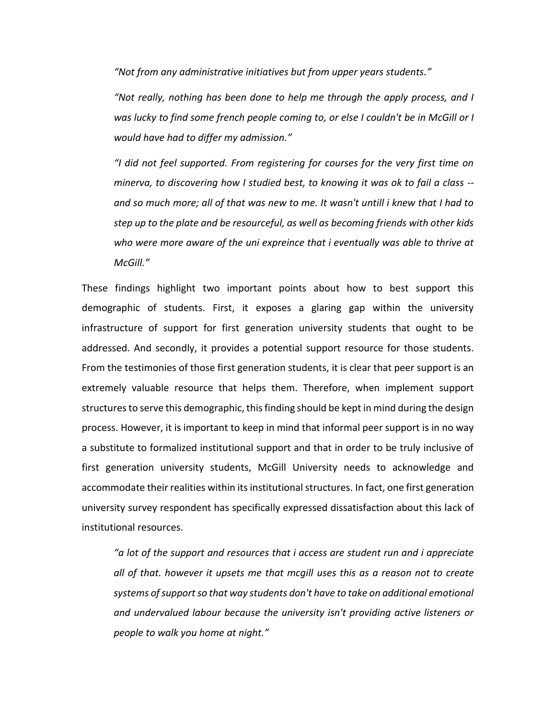*"Not from any administrative initiatives but from upper years students."*

*"Not really, nothing has been done to help me through the apply process, and I was lucky to find some french people coming to, or else I couldn't be in McGill or I would have had to differ my admission."*

*"I did not feel supported. From registering for courses for the very first time on minerva, to discovering how I studied best, to knowing it was ok to fail a class - and so much more; all of that was new to me. It wasn't untill i knew that I had to step up to the plate and be resourceful, as well as becoming friends with other kids who were more aware of the uni expreince that i eventually was able to thrive at McGill."*

These findings highlight two important points about how to best support this demographic of students. First, it exposes a glaring gap within the university infrastructure of support for first generation university students that ought to be addressed. And secondly, it provides a potential support resource for those students. From the testimonies of those first generation students, it is clear that peer support is an extremely valuable resource that helps them. Therefore, when implement support structures to serve this demographic, this finding should be kept in mind during the design process. However, it is important to keep in mind that informal peer support is in no way a substitute to formalized institutional support and that in order to be truly inclusive of first generation university students, McGill University needs to acknowledge and accommodate their realities within its institutional structures. In fact, one first generation university survey respondent has specifically expressed dissatisfaction about this lack of institutional resources.

*"a lot of the support and resources that i access are student run and i appreciate all of that. however it upsets me that mcgill uses this as a reason not to create systems of support so that way students don't have to take on additional emotional and undervalued labour because the university isn't providing active listeners or people to walk you home at night."*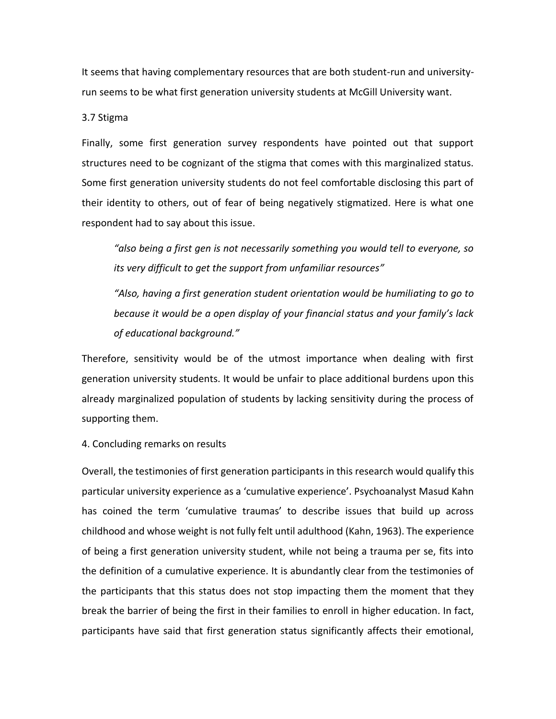It seems that having complementary resources that are both student-run and universityrun seems to be what first generation university students at McGill University want.

3.7 Stigma

Finally, some first generation survey respondents have pointed out that support structures need to be cognizant of the stigma that comes with this marginalized status. Some first generation university students do not feel comfortable disclosing this part of their identity to others, out of fear of being negatively stigmatized. Here is what one respondent had to say about this issue.

*"also being a first gen is not necessarily something you would tell to everyone, so its very difficult to get the support from unfamiliar resources"*

*"Also, having a first generation student orientation would be humiliating to go to because it would be a open display of your financial status and your family's lack of educational background."*

Therefore, sensitivity would be of the utmost importance when dealing with first generation university students. It would be unfair to place additional burdens upon this already marginalized population of students by lacking sensitivity during the process of supporting them.

4. Concluding remarks on results

Overall, the testimonies of first generation participants in this research would qualify this particular university experience as a 'cumulative experience'. Psychoanalyst Masud Kahn has coined the term 'cumulative traumas' to describe issues that build up across childhood and whose weight is not fully felt until adulthood (Kahn, 1963). The experience of being a first generation university student, while not being a trauma per se, fits into the definition of a cumulative experience. It is abundantly clear from the testimonies of the participants that this status does not stop impacting them the moment that they break the barrier of being the first in their families to enroll in higher education. In fact, participants have said that first generation status significantly affects their emotional,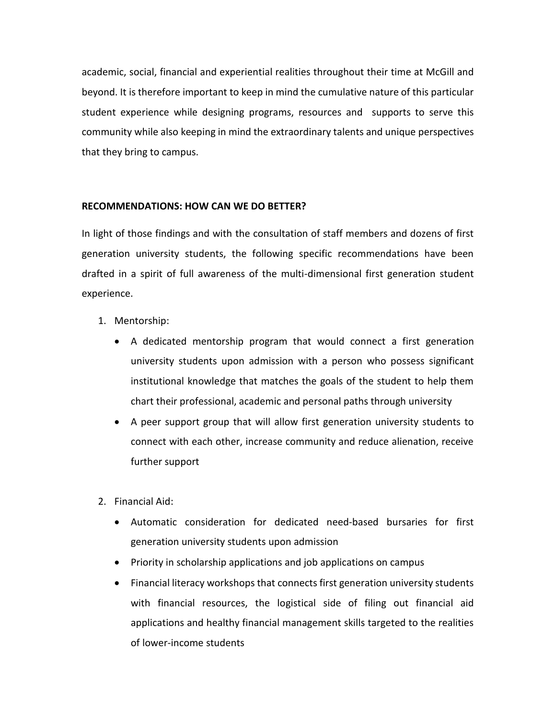academic, social, financial and experiential realities throughout their time at McGill and beyond. It is therefore important to keep in mind the cumulative nature of this particular student experience while designing programs, resources and supports to serve this community while also keeping in mind the extraordinary talents and unique perspectives that they bring to campus.

# **RECOMMENDATIONS: HOW CAN WE DO BETTER?**

In light of those findings and with the consultation of staff members and dozens of first generation university students, the following specific recommendations have been drafted in a spirit of full awareness of the multi-dimensional first generation student experience.

- 1. Mentorship:
	- A dedicated mentorship program that would connect a first generation university students upon admission with a person who possess significant institutional knowledge that matches the goals of the student to help them chart their professional, academic and personal paths through university
	- A peer support group that will allow first generation university students to connect with each other, increase community and reduce alienation, receive further support
- 2. Financial Aid:
	- Automatic consideration for dedicated need-based bursaries for first generation university students upon admission
	- Priority in scholarship applications and job applications on campus
	- Financial literacy workshops that connects first generation university students with financial resources, the logistical side of filing out financial aid applications and healthy financial management skills targeted to the realities of lower-income students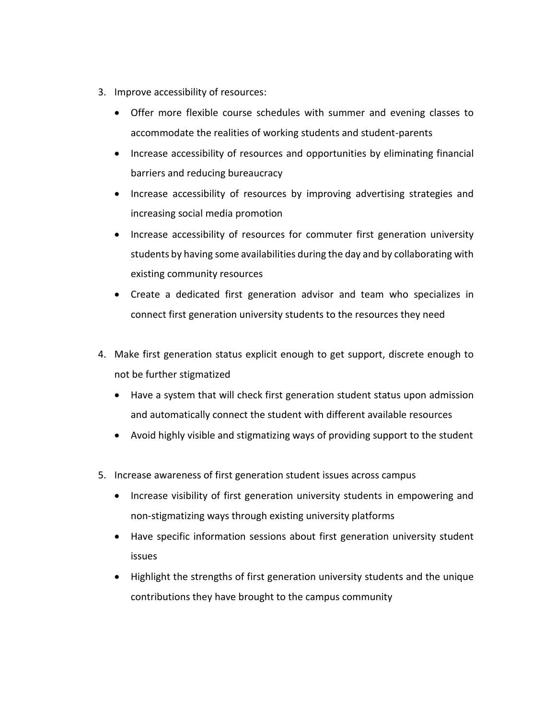- 3. Improve accessibility of resources:
	- Offer more flexible course schedules with summer and evening classes to accommodate the realities of working students and student-parents
	- Increase accessibility of resources and opportunities by eliminating financial barriers and reducing bureaucracy
	- Increase accessibility of resources by improving advertising strategies and increasing social media promotion
	- Increase accessibility of resources for commuter first generation university students by having some availabilities during the day and by collaborating with existing community resources
	- Create a dedicated first generation advisor and team who specializes in connect first generation university students to the resources they need
- 4. Make first generation status explicit enough to get support, discrete enough to not be further stigmatized
	- Have a system that will check first generation student status upon admission and automatically connect the student with different available resources
	- Avoid highly visible and stigmatizing ways of providing support to the student
- 5. Increase awareness of first generation student issues across campus
	- Increase visibility of first generation university students in empowering and non-stigmatizing ways through existing university platforms
	- Have specific information sessions about first generation university student issues
	- Highlight the strengths of first generation university students and the unique contributions they have brought to the campus community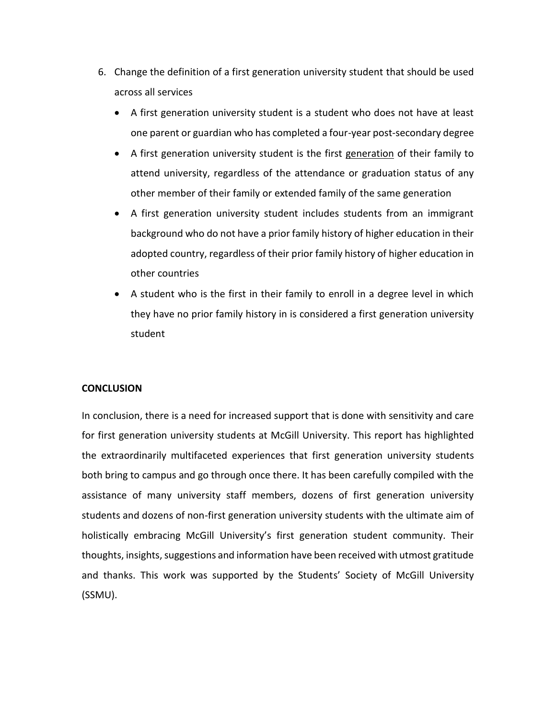- 6. Change the definition of a first generation university student that should be used across all services
	- A first generation university student is a student who does not have at least one parent or guardian who has completed a four-year post-secondary degree
	- A first generation university student is the first generation of their family to attend university, regardless of the attendance or graduation status of any other member of their family or extended family of the same generation
	- A first generation university student includes students from an immigrant background who do not have a prior family history of higher education in their adopted country, regardless of their prior family history of higher education in other countries
	- A student who is the first in their family to enroll in a degree level in which they have no prior family history in is considered a first generation university student

# **CONCLUSION**

In conclusion, there is a need for increased support that is done with sensitivity and care for first generation university students at McGill University. This report has highlighted the extraordinarily multifaceted experiences that first generation university students both bring to campus and go through once there. It has been carefully compiled with the assistance of many university staff members, dozens of first generation university students and dozens of non-first generation university students with the ultimate aim of holistically embracing McGill University's first generation student community. Their thoughts, insights, suggestions and information have been received with utmost gratitude and thanks. This work was supported by the Students' Society of McGill University (SSMU).